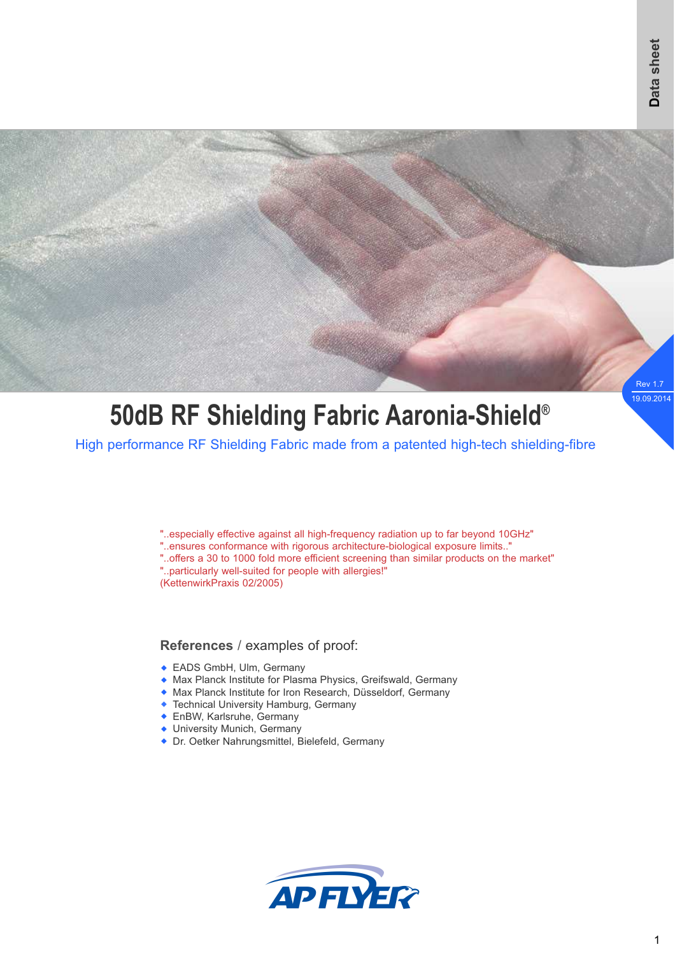

# **50dB RF Shielding Fabric Aaronia-Shield®**

High performance RF Shielding Fabric made from a patented high-tech shielding-fibre

"..especially effective against all high-frequency radiation up to far beyond 10GHz"

"..ensures conformance with rigorous architecture-biological exposure limits.."

"..offers a 30 to 1000 fold more efficient screening than similar products on the market" "..particularly well-suited for people with allergies!"

(KettenwirkPraxis 02/2005)

## **References** / examples of proof:

- EADS GmbH, Ulm, Germany
- Max Planck Institute for Plasma Physics, Greifswald, Germany w
- Max Planck Institute for Iron Research, Düsseldorf, Germany w
- Technical University Hamburg, Germany w
- **EnBW, Karlsruhe, Germany**
- University Munich, Germany
- ◆ Dr. Oetker Nahrungsmittel, Bielefeld, Germany

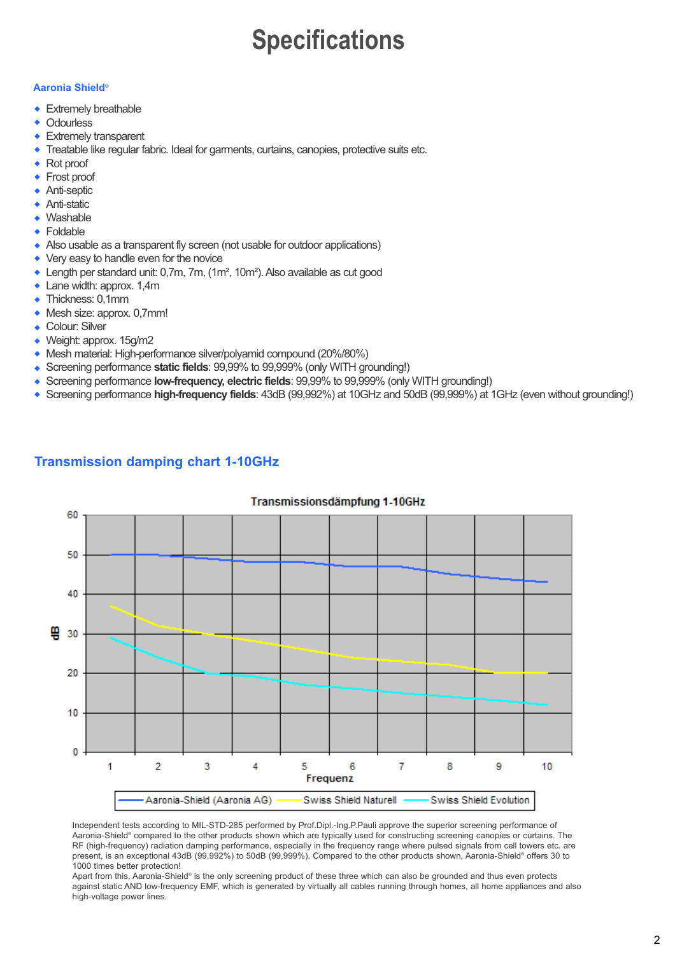## **Specifications**

#### **Aaronia Shield**®

- Extremely breathable
- **Odourless**  $\blacktriangle$
- Extremely transparent w
- Treatable like regular fabric. Ideal for garments, curtains, canopies, protective suits etc. w
- Rot proof w
- Frost proof w
- Anti-septic  $\ddot{\bullet}$
- Anti-static  $\ddot{\bullet}$
- Washable w
- Foldable  $\bullet$
- Also usable as a transparent fly screen (not usable for outdoor applications)
- Very easy to handle even for the novice  $\ddot{\bullet}$
- ◆ Length per standard unit: 0,7m, 7m, (1m<sup>2</sup>, 10m<sup>2</sup>). Also available as cut good
- Lane width: approx. 1,4m  $\ddot{\bullet}$
- Thickness: 0,1mm
- Mesh size: approx. 0,7mm!
- Colour: Silver
- ◆ Weight: approx. 15g/m2
- Mesh material: High-performance silver/polyamid compound (20%/80%) w
- Screening performance **static fields**: 99,99% to 99,999% (only WITH grounding!)  $\ddot{\bullet}$
- Screening performance **low-frequency, electric fields**: 99,99% to 99,999% (only WITH grounding!)  $\ddot{\bullet}$
- Screening performance **high-frequency fields**: 43dB (99,992%) at 10GHz and 50dB (99,999%) at 1GHz (even without grounding!) w



## **Transmission damping chart 1-10GHz**

Independent tests according to MIL-STD-285 performed by Prof.Dipl.-Ing.P.Pauli approve the superior screening performance of Aaronia-Shield® compared to the other products shown which are typically used for constructing screening canopies or curtains. The RF (high-frequency) radiation damping performance, especially in the frequency range where pulsed signals from cell towers etc. are present, is an exceptional 43dB (99,992%) to 50dB (99,999%). Compared to the other products shown, Aaronia-Shield® offers 30 to 1000 times better protection!

Apart from this, Aaronia-Shield® is the only screening product of these three which can also be grounded and thus even protects against static AND low-frequency EMF, which is generated by virtually all cables running through homes, all home appliances and also high-voltage power lines.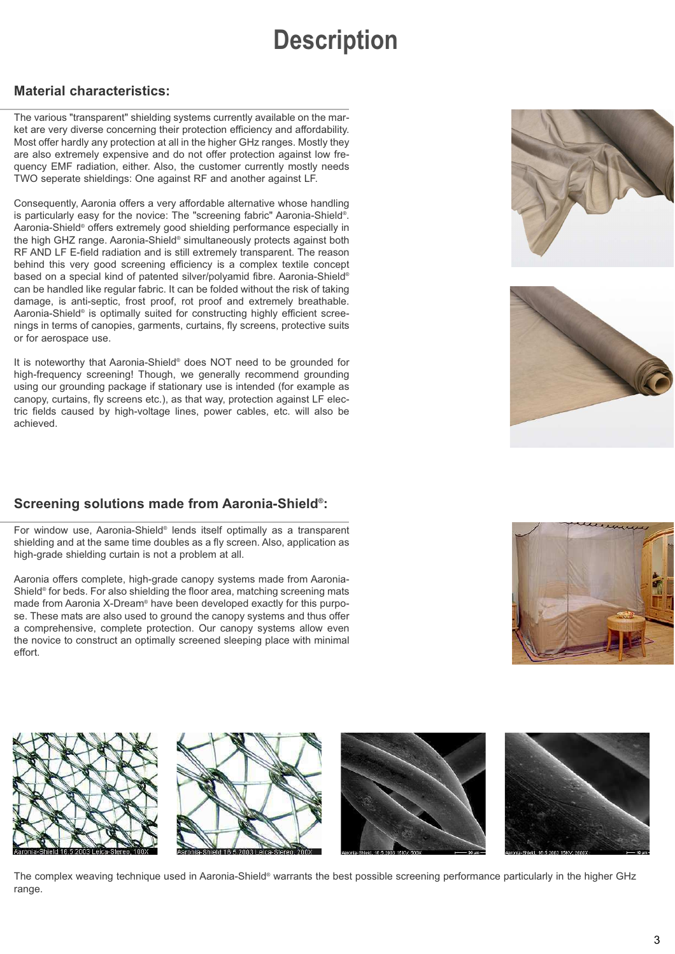## **Description**

### **Material characteristics:**

The various "transparent" shielding systems currently available on the market are very diverse concerning their protection efficiency and affordability. Most offer hardly any protection at all in the higher GHz ranges. Mostly they are also extremely expensive and do not offer protection against low frequency EMF radiation, either. Also, the customer currently mostly needs TWO seperate shieldings: One against RF and another against LF.

Consequently, Aaronia offers a very affordable alternative whose handling is particularly easy for the novice: The "screening fabric" Aaronia-Shield® . Aaronia-Shield® offers extremely good shielding performance especially in the high GHZ range. Aaronia-Shield® simultaneously protects against both RF AND LF E-field radiation and is still extremely transparent. The reason behind this very good screening efficiency is a complex textile concept based on a special kind of patented silver/polyamid fibre. Aaronia-Shield® can be handled like regular fabric. It can be folded without the risk of taking damage, is anti-septic, frost proof, rot proof and extremely breathable. Aaronia-Shield® is optimally suited for constructing highly efficient screenings in terms of canopies, garments, curtains, fly screens, protective suits or for aerospace use.

It is noteworthy that Aaronia-Shield® does NOT need to be grounded for high-frequency screening! Though, we generally recommend grounding using our grounding package if stationary use is intended (for example as canopy, curtains, fly screens etc.), as that way, protection against LF electric fields caused by high-voltage lines, power cables, etc. will also be achieved.

## **Screening solutions made from Aaronia-Shield® :**

For window use, Aaronia-Shield® lends itself optimally as a transparent shielding and at the same time doubles as a fly screen. Also, application as high-grade shielding curtain is not a problem at all.

Aaronia offers complete, high-grade canopy systems made from Aaronia-Shield® for beds. For also shielding the floor area, matching screening mats made from Aaronia X-Dream® have been developed exactly for this purpose. These mats are also used to ground the canopy systems and thus offer a comprehensive, complete protection. Our canopy systems allow even the novice to construct an optimally screened sleeping place with minimal effort.









The complex weaving technique used in Aaronia-Shield® warrants the best possible screening performance particularly in the higher GHz range.